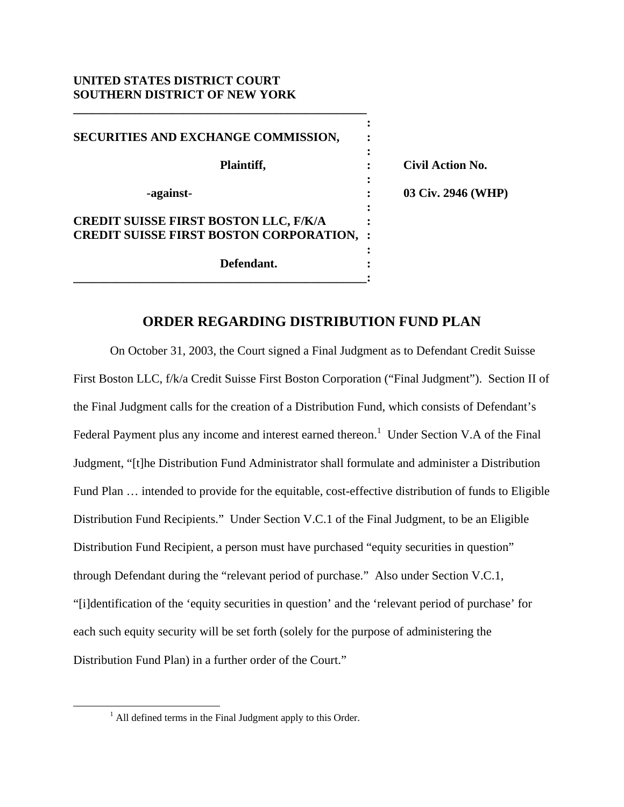## **UNITED STATES DISTRICT COURT SOUTHERN DISTRICT OF NEW YORK**

**\_\_\_\_\_\_\_\_\_\_\_\_\_\_\_\_\_\_\_\_\_\_\_\_\_\_\_\_\_\_\_\_\_\_\_\_\_\_\_\_\_\_\_\_\_\_\_\_** 

| SECURITIES AND EXCHANGE COMMISSION,                                                              |                         |
|--------------------------------------------------------------------------------------------------|-------------------------|
| Plaintiff,                                                                                       | <b>Civil Action No.</b> |
| -against-                                                                                        | 03 Civ. 2946 (WHP)      |
| <b>CREDIT SUISSE FIRST BOSTON LLC, F/K/A</b><br><b>CREDIT SUISSE FIRST BOSTON CORPORATION, :</b> |                         |
| Defendant.                                                                                       |                         |

## **ORDER REGARDING DISTRIBUTION FUND PLAN**

 On October 31, 2003, the Court signed a Final Judgment as to Defendant Credit Suisse First Boston LLC, f/k/a Credit Suisse First Boston Corporation ("Final Judgment"). Section II of the Final Judgment calls for the creation of a Distribution Fund, which consists of Defendant's Federal Payment plus any income and interest earned thereon.<sup>1</sup> Under Section V.A of the Final Judgment, "[t]he Distribution Fund Administrator shall formulate and administer a Distribution Fund Plan … intended to provide for the equitable, cost-effective distribution of funds to Eligible Distribution Fund Recipients." Under Section V.C.1 of the Final Judgment, to be an Eligible Distribution Fund Recipient, a person must have purchased "equity securities in question" through Defendant during the "relevant period of purchase." Also under Section V.C.1, "[i]dentification of the 'equity securities in question' and the 'relevant period of purchase' for each such equity security will be set forth (solely for the purpose of administering the Distribution Fund Plan) in a further order of the Court."

 $\frac{1}{1}$  $<sup>1</sup>$  All defined terms in the Final Judgment apply to this Order.</sup>